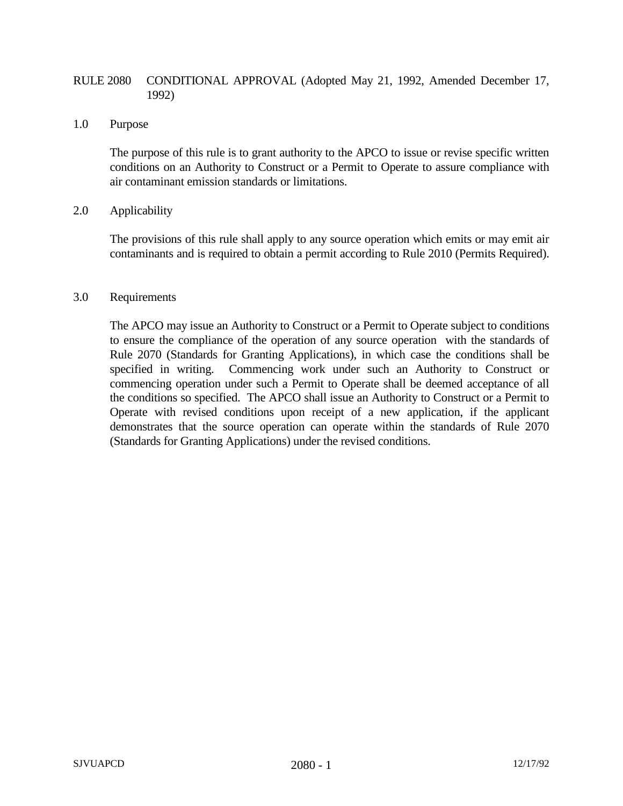## RULE 2080 CONDITIONAL APPROVAL (Adopted May 21, 1992, Amended December 17, 1992)

## 1.0 Purpose

The purpose of this rule is to grant authority to the APCO to issue or revise specific written conditions on an Authority to Construct or a Permit to Operate to assure compliance with air contaminant emission standards or limitations.

## 2.0 Applicability

The provisions of this rule shall apply to any source operation which emits or may emit air contaminants and is required to obtain a permit according to Rule 2010 (Permits Required).

## 3.0 Requirements

The APCO may issue an Authority to Construct or a Permit to Operate subject to conditions to ensure the compliance of the operation of any source operation with the standards of Rule 2070 (Standards for Granting Applications), in which case the conditions shall be specified in writing. Commencing work under such an Authority to Construct or commencing operation under such a Permit to Operate shall be deemed acceptance of all the conditions so specified. The APCO shall issue an Authority to Construct or a Permit to Operate with revised conditions upon receipt of a new application, if the applicant demonstrates that the source operation can operate within the standards of Rule 2070 (Standards for Granting Applications) under the revised conditions.